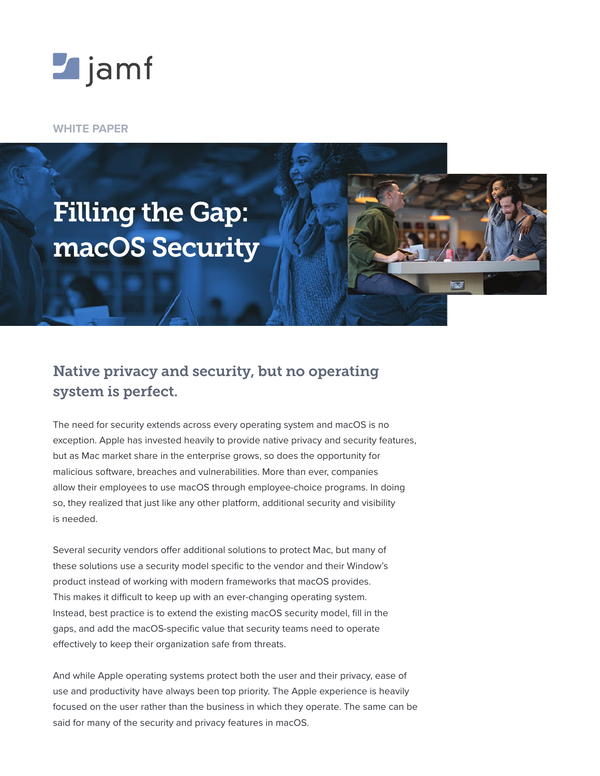

**WHITE PAPER**



# Native privacy and security, but no operating system is perfect.

The need for security extends across every operating system and macOS is no exception. Apple has invested heavily to provide native privacy and security features, but as Mac market share in the enterprise grows, so does the opportunity for malicious software, breaches and vulnerabilities. More than ever, companies allow their employees to use macOS through employee-choice programs. In doing so, they realized that just like any other platform, additional security and visibility is needed.

Several security vendors offer additional solutions to protect Mac, but many of these solutions use a security model specific to the vendor and their Window's product instead of working with modern frameworks that macOS provides. This makes it difficult to keep up with an ever-changing operating system. Instead, best practice is to extend the existing macOS security model, fill in the gaps, and add the macOS-specific value that security teams need to operate effectively to keep their organization safe from threats.

And while Apple operating systems protect both the user and their privacy, ease of use and productivity have always been top priority. The Apple experience is heavily focused on the user rather than the business in which they operate. The same can be said for many of the security and privacy features in macOS.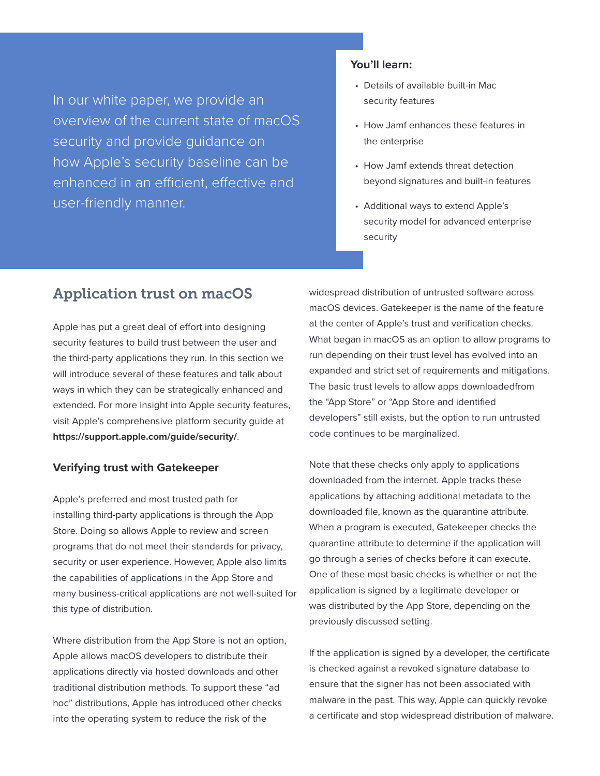In our white paper, we provide an overview of the current state of macOS security and provide guidance on how Apple's security baseline can be enhanced in an efficient, effective and user-friendly manner.

## **You'll learn:**

- Details of available built-in Mac security features
- How Jamf enhances these features in the enterprise
- How Jamf extends threat detection beyond signatures and built-in features
- Additional ways to extend Apple's security model for advanced enterprise security

## Application trust on macOS

Apple has put a great deal of effort into designing security features to build trust between the user and the third-party applications they run. In this section we will introduce several of these features and talk about ways in which they can be strategically enhanced and extended. For more insight into Apple security features, visit Apple's comprehensive platform security guide at **<https://support.apple.com/guide/security/>**.

### **Verifying trust with Gatekeeper**

Apple's preferred and most trusted path for installing third-party applications is through the App Store. Doing so allows Apple to review and screen programs that do not meet their standards for privacy, security or user experience. However, Apple also limits the capabilities of applications in the App Store and many business-critical applications are not well-suited for this type of distribution.

Where distribution from the App Store is not an option, Apple allows macOS developers to distribute their applications directly via hosted downloads and other traditional distribution methods. To support these "ad hoc" distributions, Apple has introduced other checks into the operating system to reduce the risk of the

widespread distribution of untrusted software across macOS devices. Gatekeeper is the name of the feature at the center of Apple's trust and verification checks. What began in macOS as an option to allow programs to run depending on their trust level has evolved into an expanded and strict set of requirements and mitigations. The basic trust levels to allow apps downloadedfrom the "App Store" or "App Store and identified developers" still exists, but the option to run untrusted code continues to be marginalized.

Note that these checks only apply to applications downloaded from the internet. Apple tracks these applications by attaching additional metadata to the downloaded file, known as the quarantine attribute. When a program is executed, Gatekeeper checks the quarantine attribute to determine if the application will go through a series of checks before it can execute. One of these most basic checks is whether or not the application is signed by a legitimate developer or was distributed by the App Store, depending on the previously discussed setting.

If the application is signed by a developer, the certificate is checked against a revoked signature database to ensure that the signer has not been associated with malware in the past. This way, Apple can quickly revoke a certificate and stop widespread distribution of malware.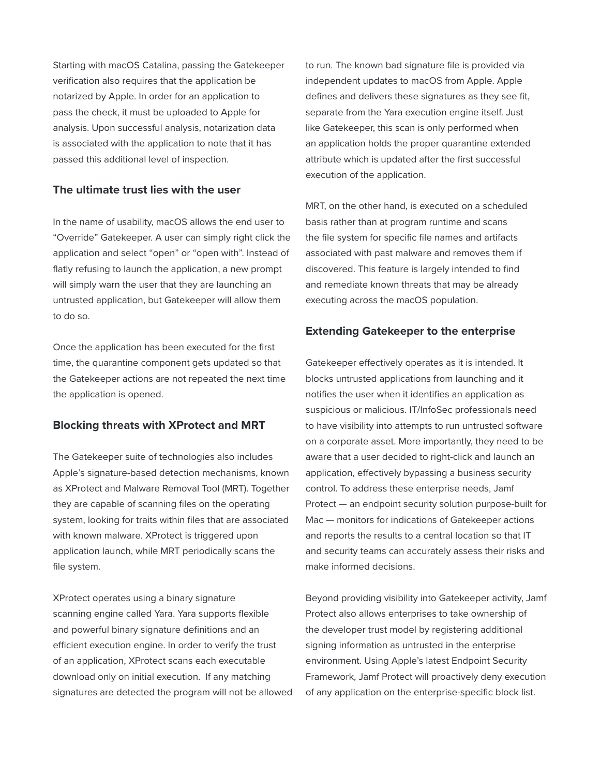Starting with macOS Catalina, passing the Gatekeeper verification also requires that the application be notarized by Apple. In order for an application to pass the check, it must be uploaded to Apple for analysis. Upon successful analysis, notarization data is associated with the application to note that it has passed this additional level of inspection.

## **The ultimate trust lies with the user**

In the name of usability, macOS allows the end user to "Override" Gatekeeper. A user can simply right click the application and select "open" or "open with". Instead of flatly refusing to launch the application, a new prompt will simply warn the user that they are launching an untrusted application, but Gatekeeper will allow them to do so.

Once the application has been executed for the first time, the quarantine component gets updated so that the Gatekeeper actions are not repeated the next time the application is opened.

## **Blocking threats with XProtect and MRT**

The Gatekeeper suite of technologies also includes Apple's signature-based detection mechanisms, known as XProtect and Malware Removal Tool (MRT). Together they are capable of scanning files on the operating system, looking for traits within files that are associated with known malware. XProtect is triggered upon application launch, while MRT periodically scans the file system.

XProtect operates using a binary signature scanning engine called Yara. Yara supports flexible and powerful binary signature definitions and an efficient execution engine. In order to verify the trust of an application, XProtect scans each executable download only on initial execution. If any matching signatures are detected the program will not be allowed to run. The known bad signature file is provided via independent updates to macOS from Apple. Apple defines and delivers these signatures as they see fit, separate from the Yara execution engine itself. Just like Gatekeeper, this scan is only performed when an application holds the proper quarantine extended attribute which is updated after the first successful execution of the application.

MRT, on the other hand, is executed on a scheduled basis rather than at program runtime and scans the file system for specific file names and artifacts associated with past malware and removes them if discovered. This feature is largely intended to find and remediate known threats that may be already executing across the macOS population.

## **Extending Gatekeeper to the enterprise**

Gatekeeper effectively operates as it is intended. It blocks untrusted applications from launching and it notifies the user when it identifies an application as suspicious or malicious. IT/InfoSec professionals need to have visibility into attempts to run untrusted software on a corporate asset. More importantly, they need to be aware that a user decided to right-click and launch an application, effectively bypassing a business security control. To address these enterprise needs, Jamf Protect — an endpoint security solution purpose-built for Mac — monitors for indications of Gatekeeper actions and reports the results to a central location so that IT and security teams can accurately assess their risks and make informed decisions.

Beyond providing visibility into Gatekeeper activity, Jamf Protect also allows enterprises to take ownership of the developer trust model by registering additional signing information as untrusted in the enterprise environment. Using Apple's latest Endpoint Security Framework, Jamf Protect will proactively deny execution of any application on the enterprise-specific block list.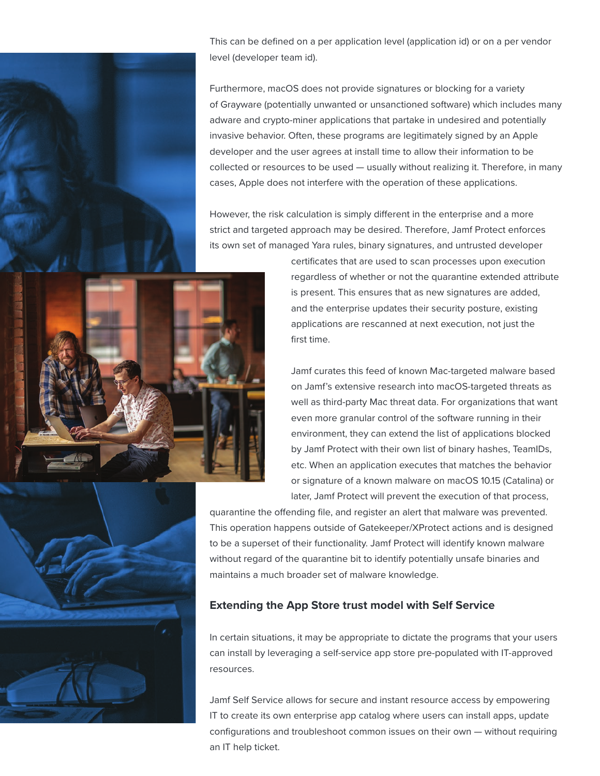

This can be defined on a per application level (application id) or on a per vendor level (developer team id).

Furthermore, macOS does not provide signatures or blocking for a variety of Grayware (potentially unwanted or unsanctioned software) which includes many adware and crypto-miner applications that partake in undesired and potentially invasive behavior. Often, these programs are legitimately signed by an Apple developer and the user agrees at install time to allow their information to be collected or resources to be used — usually without realizing it. Therefore, in many cases, Apple does not interfere with the operation of these applications.

However, the risk calculation is simply different in the enterprise and a more strict and targeted approach may be desired. Therefore, Jamf Protect enforces its own set of managed Yara rules, binary signatures, and untrusted developer



certificates that are used to scan processes upon execution regardless of whether or not the quarantine extended attribute is present. This ensures that as new signatures are added, and the enterprise updates their security posture, existing applications are rescanned at next execution, not just the first time.

Jamf curates this feed of known Mac-targeted malware based on Jamf's extensive research into macOS-targeted threats as well as third-party Mac threat data. For organizations that want even more granular control of the software running in their environment, they can extend the list of applications blocked by Jamf Protect with their own list of binary hashes, TeamIDs, etc. When an application executes that matches the behavior or signature of a known malware on macOS 10.15 (Catalina) or later, Jamf Protect will prevent the execution of that process,

quarantine the offending file, and register an alert that malware was prevented. This operation happens outside of Gatekeeper/XProtect actions and is designed to be a superset of their functionality. Jamf Protect will identify known malware without regard of the quarantine bit to identify potentially unsafe binaries and maintains a much broader set of malware knowledge.

## **Extending the App Store trust model with Self Service**

In certain situations, it may be appropriate to dictate the programs that your users can install by leveraging a self-service app store pre-populated with IT-approved resources.

Jamf Self Service allows for secure and instant resource access by empowering IT to create its own enterprise app catalog where users can install apps, update configurations and troubleshoot common issues on their own — without requiring an IT help ticket.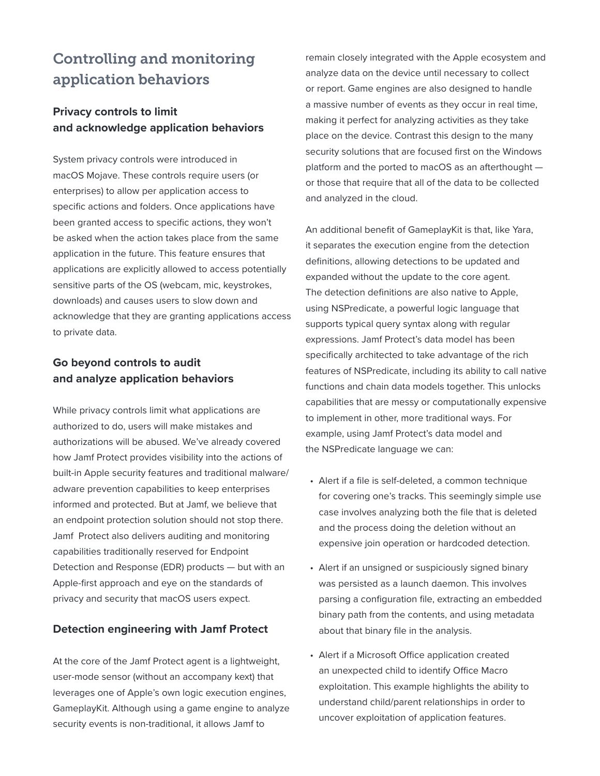# Controlling and monitoring application behaviors

## **Privacy controls to limit and acknowledge application behaviors**

System privacy controls were introduced in macOS Mojave. These controls require users (or enterprises) to allow per application access to specific actions and folders. Once applications have been granted access to specific actions, they won't be asked when the action takes place from the same application in the future. This feature ensures that applications are explicitly allowed to access potentially sensitive parts of the OS (webcam, mic, keystrokes, downloads) and causes users to slow down and acknowledge that they are granting applications access to private data.

## **Go beyond controls to audit and analyze application behaviors**

While privacy controls limit what applications are authorized to do, users will make mistakes and authorizations will be abused. We've already covered how Jamf Protect provides visibility into the actions of built-in Apple security features and traditional malware/ adware prevention capabilities to keep enterprises informed and protected. But at Jamf, we believe that an endpoint protection solution should not stop there. Jamf Protect also delivers auditing and monitoring capabilities traditionally reserved for Endpoint Detection and Response (EDR) products — but with an Apple-first approach and eye on the standards of privacy and security that macOS users expect.

## **Detection engineering with Jamf Protect**

At the core of the Jamf Protect agent is a lightweight, user-mode sensor (without an accompany kext) that leverages one of Apple's own logic execution engines, GameplayKit. Although using a game engine to analyze security events is non-traditional, it allows Jamf to

remain closely integrated with the Apple ecosystem and analyze data on the device until necessary to collect or report. Game engines are also designed to handle a massive number of events as they occur in real time, making it perfect for analyzing activities as they take place on the device. Contrast this design to the many security solutions that are focused first on the Windows platform and the ported to macOS as an afterthought or those that require that all of the data to be collected and analyzed in the cloud.

An additional benefit of GameplayKit is that, like Yara, it separates the execution engine from the detection definitions, allowing detections to be updated and expanded without the update to the core agent. The detection definitions are also native to Apple, using NSPredicate, a powerful logic language that supports typical query syntax along with regular expressions. Jamf Protect's data model has been specifically architected to take advantage of the rich features of NSPredicate, including its ability to call native functions and chain data models together. This unlocks capabilities that are messy or computationally expensive to implement in other, more traditional ways. For example, using Jamf Protect's data model and the NSPredicate language we can:

- Alert if a file is self-deleted, a common technique for covering one's tracks. This seemingly simple use case involves analyzing both the file that is deleted and the process doing the deletion without an expensive join operation or hardcoded detection.
- Alert if an unsigned or suspiciously signed binary was persisted as a launch daemon. This involves parsing a configuration file, extracting an embedded binary path from the contents, and using metadata about that binary file in the analysis.
- Alert if a Microsoft Office application created an unexpected child to identify Office Macro exploitation. This example highlights the ability to understand child/parent relationships in order to uncover exploitation of application features.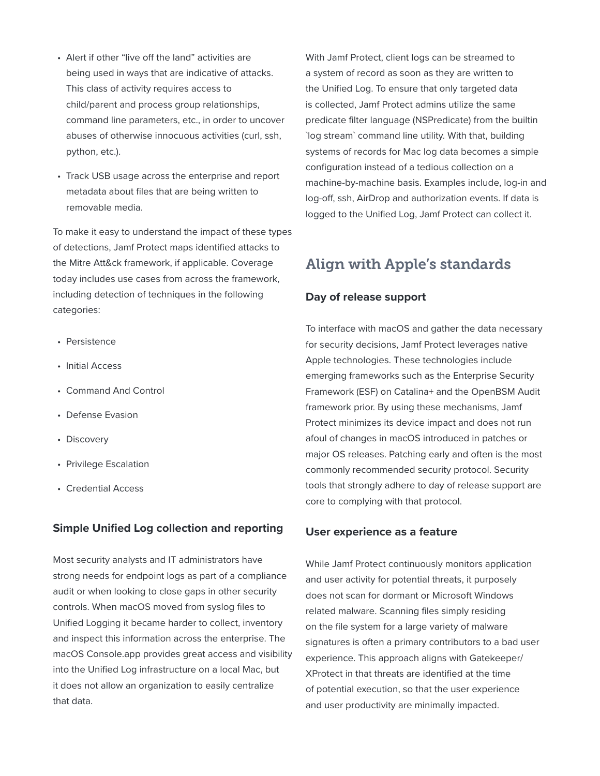- Alert if other "live off the land" activities are being used in ways that are indicative of attacks. This class of activity requires access to child/parent and process group relationships, command line parameters, etc., in order to uncover abuses of otherwise innocuous activities (curl, ssh, python, etc.).
- Track USB usage across the enterprise and report metadata about files that are being written to removable media.

To make it easy to understand the impact of these types of detections, Jamf Protect maps identified attacks to the Mitre Att&ck framework, if applicable. Coverage today includes use cases from across the framework, including detection of techniques in the following categories:

- Persistence
- Initial Access
- Command And Control
- Defense Evasion
- Discovery
- Privilege Escalation
- Credential Access

## **Simple Unified Log collection and reporting**

Most security analysts and IT administrators have strong needs for endpoint logs as part of a compliance audit or when looking to close gaps in other security controls. When macOS moved from syslog files to Unified Logging it became harder to collect, inventory and inspect this information across the enterprise. The macOS Console.app provides great access and visibility into the Unified Log infrastructure on a local Mac, but it does not allow an organization to easily centralize that data.

With Jamf Protect, client logs can be streamed to a system of record as soon as they are written to the Unified Log. To ensure that only targeted data is collected, Jamf Protect admins utilize the same predicate filter language (NSPredicate) from the builtin `log stream` command line utility. With that, building systems of records for Mac log data becomes a simple configuration instead of a tedious collection on a machine-by-machine basis. Examples include, log-in and log-off, ssh, AirDrop and authorization events. If data is logged to the Unified Log, Jamf Protect can collect it.

## Align with Apple's standards

## **Day of release support**

To interface with macOS and gather the data necessary for security decisions, Jamf Protect leverages native Apple technologies. These technologies include emerging frameworks such as the Enterprise Security Framework (ESF) on Catalina+ and the OpenBSM Audit framework prior. By using these mechanisms, Jamf Protect minimizes its device impact and does not run afoul of changes in macOS introduced in patches or major OS releases. Patching early and often is the most commonly recommended security protocol. Security tools that strongly adhere to day of release support are core to complying with that protocol.

## **User experience as a feature**

While Jamf Protect continuously monitors application and user activity for potential threats, it purposely does not scan for dormant or Microsoft Windows related malware. Scanning files simply residing on the file system for a large variety of malware signatures is often a primary contributors to a bad user experience. This approach aligns with Gatekeeper/ XProtect in that threats are identified at the time of potential execution, so that the user experience and user productivity are minimally impacted.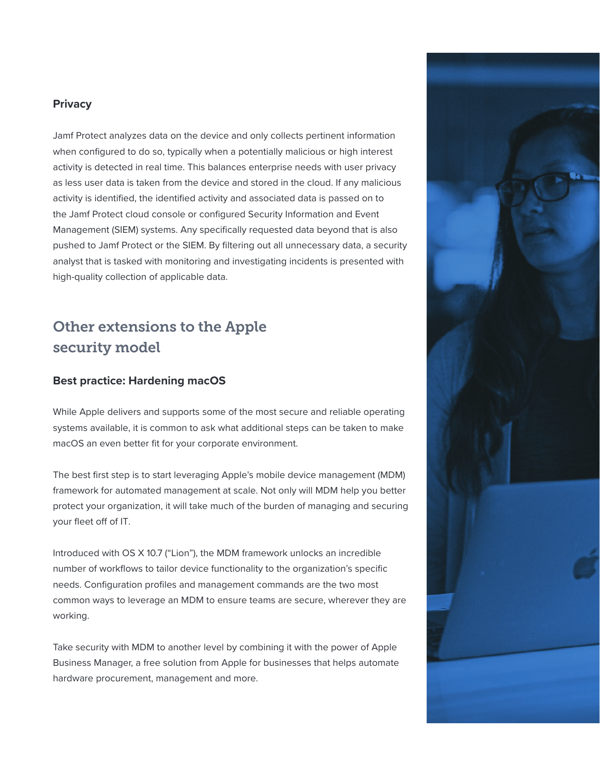## **Privacy**

Jamf Protect analyzes data on the device and only collects pertinent information when configured to do so, typically when a potentially malicious or high interest activity is detected in real time. This balances enterprise needs with user privacy as less user data is taken from the device and stored in the cloud. If any malicious activity is identified, the identified activity and associated data is passed on to the Jamf Protect cloud console or configured Security Information and Event Management (SIEM) systems. Any specifically requested data beyond that is also pushed to Jamf Protect or the SIEM. By filtering out all unnecessary data, a security analyst that is tasked with monitoring and investigating incidents is presented with high-quality collection of applicable data.

# Other extensions to the Apple security model

## **Best practice: Hardening macOS**

While Apple delivers and supports some of the most secure and reliable operating systems available, it is common to ask what additional steps can be taken to make macOS an even better fit for your corporate environment.

The best first step is to start leveraging Apple's mobile device management (MDM) framework for automated management at scale. Not only will MDM help you better protect your organization, it will take much of the burden of managing and securing your fleet off of IT.

Introduced with OS X 10.7 ("Lion"), the MDM framework unlocks an incredible number of workflows to tailor device functionality to the organization's specific needs. Configuration profiles and management commands are the two most common ways to leverage an MDM to ensure teams are secure, wherever they are working.

Take security with MDM to another level by combining it with the power of Apple Business Manager, a free solution from Apple for businesses that helps automate hardware procurement, management and more.

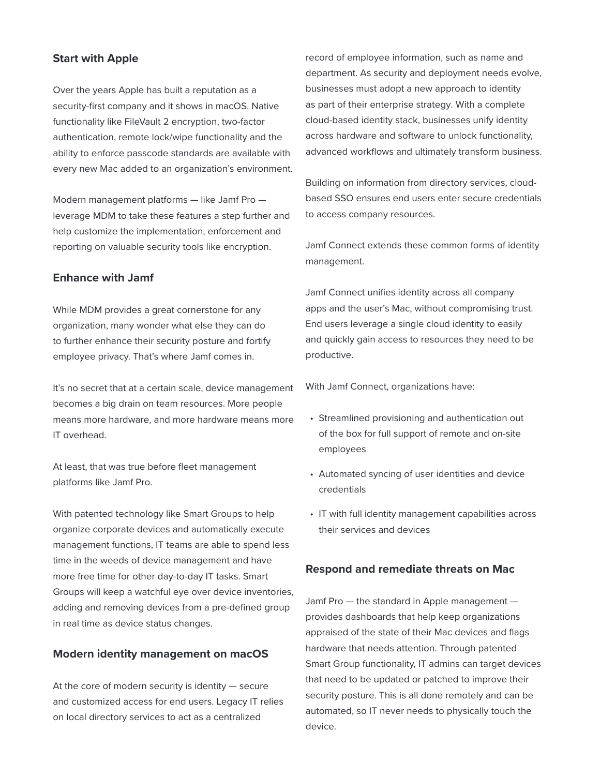## **Start with Apple**

Over the years Apple has built a reputation as a security-first company and it shows in macOS. Native functionality like FileVault 2 encryption, two-factor authentication, remote lock/wipe functionality and the ability to enforce passcode standards are available with every new Mac added to an organization's environment.

Modern management platforms — like Jamf Pro leverage MDM to take these features a step further and help customize the implementation, enforcement and reporting on valuable security tools like encryption.

## **Enhance with Jamf**

While MDM provides a great cornerstone for any organization, many wonder what else they can do to further enhance their security posture and fortify employee privacy. That's where Jamf comes in.

It's no secret that at a certain scale, device management becomes a big drain on team resources. More people means more hardware, and more hardware means more IT overhead.

At least, that was true before fleet management platforms like Jamf Pro.

With patented technology like Smart Groups to help organize corporate devices and automatically execute management functions, IT teams are able to spend less time in the weeds of device management and have more free time for other day-to-day IT tasks. Smart Groups will keep a watchful eye over device inventories, adding and removing devices from a pre-defined group in real time as device status changes.

### **Modern identity management on macOS**

At the core of modern security is identity — secure and customized access for end users. Legacy IT relies on local directory services to act as a centralized

record of employee information, such as name and department. As security and deployment needs evolve, businesses must adopt a new approach to identity as part of their enterprise strategy. With a complete cloud-based identity stack, businesses unify identity across hardware and software to unlock functionality, advanced workflows and ultimately transform business.

Building on information from directory services, cloudbased SSO ensures end users enter secure credentials to access company resources.

Jamf Connect extends these common forms of identity management.

Jamf Connect unifies identity across all company apps and the user's Mac, without compromising trust. End users leverage a single cloud identity to easily and quickly gain access to resources they need to be productive.

With Jamf Connect, organizations have:

- Streamlined provisioning and authentication out of the box for full support of remote and on-site employees
- Automated syncing of user identities and device credentials
- IT with full identity management capabilities across their services and devices

## **Respond and remediate threats on Mac**

Jamf Pro — the standard in Apple management provides dashboards that help keep organizations appraised of the state of their Mac devices and flags hardware that needs attention. Through patented Smart Group functionality, IT admins can target devices that need to be updated or patched to improve their security posture. This is all done remotely and can be automated, so IT never needs to physically touch the device.